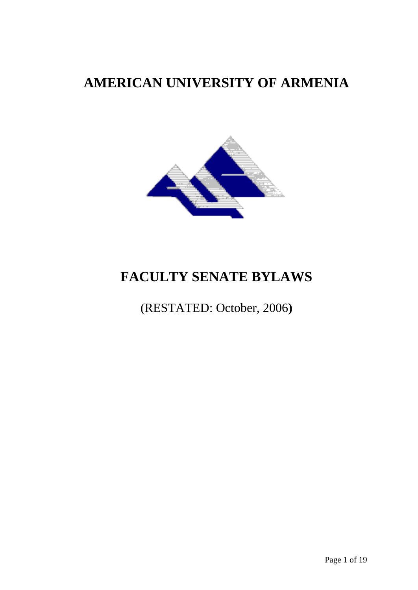## **AMERICAN UNIVERSITY OF ARMENIA**



# **FACULTY SENATE BYLAWS**

## (RESTATED: October, 2006**)**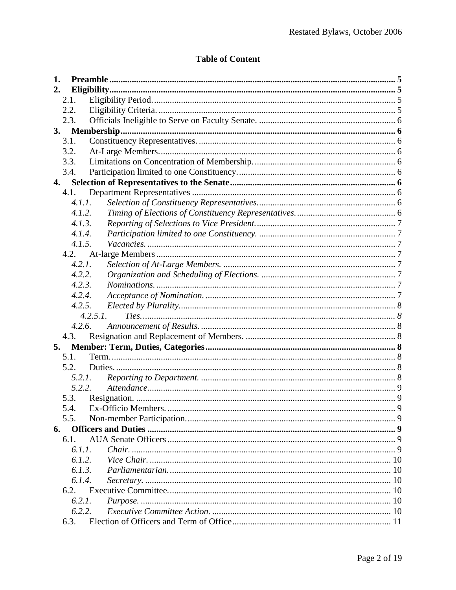## **Table of Content**

| 1. |        |          |  |
|----|--------|----------|--|
| 2. |        |          |  |
|    | 2.1.   |          |  |
|    | 2.2.   |          |  |
|    | 2.3.   |          |  |
| 3. |        |          |  |
|    | 3.1.   |          |  |
|    | 3.2.   |          |  |
|    | 3.3.   |          |  |
|    | 3.4.   |          |  |
| 4. |        |          |  |
|    | 4.1.   |          |  |
|    | 4.1.1. |          |  |
|    | 4.1.2. |          |  |
|    | 4.1.3. |          |  |
|    | 4.1.4. |          |  |
|    | 4.1.5. |          |  |
|    | 4.2.   |          |  |
|    | 4.2.1. |          |  |
|    | 4.2.2. |          |  |
|    | 4.2.3. |          |  |
|    | 4.2.4. |          |  |
|    | 4.2.5. |          |  |
|    |        | 4.2.5.1. |  |
|    | 4.2.6. |          |  |
|    | 4.3.   |          |  |
| 5. |        |          |  |
|    | 5.1.   |          |  |
|    | 5.2.   |          |  |
|    |        | 5.2.1.   |  |
|    | 5.2.2. |          |  |
|    | 5.3.   |          |  |
|    |        |          |  |
|    | 5.5.   |          |  |
| 6. |        |          |  |
|    | 6.1.   |          |  |
|    | 6.1.1. |          |  |
|    | 6.1.2. |          |  |
|    | 6.1.3. |          |  |
|    | 6.1.4. |          |  |
|    | 6.2.   |          |  |
|    | 6.2.1. |          |  |
|    | 6.2.2. |          |  |
|    | 6.3.   |          |  |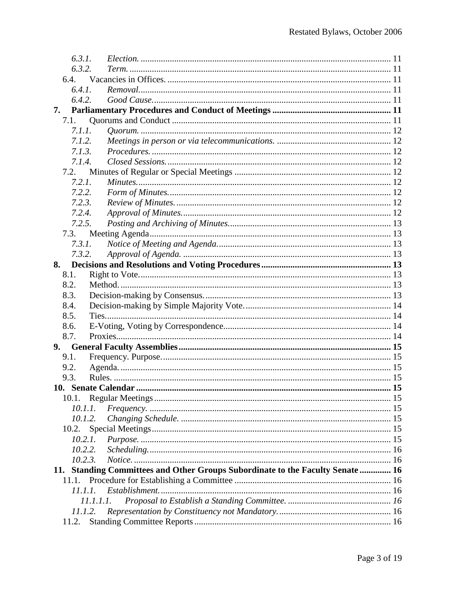| 6.3.1.    |                                                                                |  |
|-----------|--------------------------------------------------------------------------------|--|
| 6.3.2.    |                                                                                |  |
|           |                                                                                |  |
| 6.4.1.    |                                                                                |  |
| 6.4.2.    |                                                                                |  |
| 7.        |                                                                                |  |
| 7.1.      |                                                                                |  |
| 7.1.1.    |                                                                                |  |
| 7.1.2.    |                                                                                |  |
| 7.1.3.    |                                                                                |  |
| 7.1.4.    |                                                                                |  |
| 7.2.      |                                                                                |  |
| 7.2.1.    |                                                                                |  |
| 7.2.2.    |                                                                                |  |
| 7.2.3.    |                                                                                |  |
| 7.2.4.    |                                                                                |  |
| 7.2.5.    |                                                                                |  |
| 7.3.      |                                                                                |  |
| 7.3.1.    |                                                                                |  |
| 7.3.2.    |                                                                                |  |
| 8.        |                                                                                |  |
| 8.1.      |                                                                                |  |
| 8.2.      |                                                                                |  |
| 8.3.      |                                                                                |  |
| 8.4.      |                                                                                |  |
| 8.5.      |                                                                                |  |
| 8.6.      |                                                                                |  |
| 8.7.      |                                                                                |  |
| 9.1.      |                                                                                |  |
| 9.2.      |                                                                                |  |
| 9.3.      |                                                                                |  |
|           |                                                                                |  |
| 10.1.     |                                                                                |  |
| 10.1.1.   |                                                                                |  |
| 10.1.2.   |                                                                                |  |
| 10.2.     |                                                                                |  |
| 10.2.1.   |                                                                                |  |
| 10.2.2.   |                                                                                |  |
| 10.2.3.   |                                                                                |  |
|           | 11. Standing Committees and Other Groups Subordinate to the Faculty Senate  16 |  |
| 11.1.     |                                                                                |  |
| 11.1.1.   |                                                                                |  |
| 11.1.1.1. |                                                                                |  |
| 11.1.2.   |                                                                                |  |
| 11.2.     |                                                                                |  |
|           |                                                                                |  |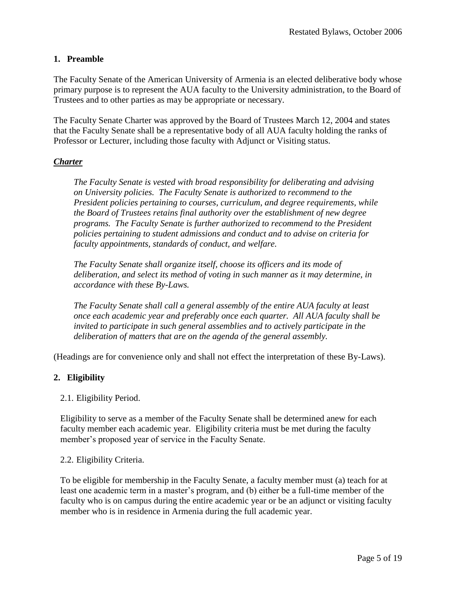## <span id="page-4-0"></span>**1. Preamble**

The Faculty Senate of the American University of Armenia is an elected deliberative body whose primary purpose is to represent the AUA faculty to the University administration, to the Board of Trustees and to other parties as may be appropriate or necessary.

The Faculty Senate Charter was approved by the Board of Trustees March 12, 2004 and states that the Faculty Senate shall be a representative body of all AUA faculty holding the ranks of Professor or Lecturer, including those faculty with Adjunct or Visiting status.

## *Charter*

*The Faculty Senate is vested with broad responsibility for deliberating and advising on University policies. The Faculty Senate is authorized to recommend to the President policies pertaining to courses, curriculum, and degree requirements, while the Board of Trustees retains final authority over the establishment of new degree programs. The Faculty Senate is further authorized to recommend to the President policies pertaining to student admissions and conduct and to advise on criteria for faculty appointments, standards of conduct, and welfare.* 

*The Faculty Senate shall organize itself, choose its officers and its mode of deliberation, and select its method of voting in such manner as it may determine, in accordance with these By-Laws.*

*The Faculty Senate shall call a general assembly of the entire AUA faculty at least once each academic year and preferably once each quarter. All AUA faculty shall be invited to participate in such general assemblies and to actively participate in the deliberation of matters that are on the agenda of the general assembly.* 

(Headings are for convenience only and shall not effect the interpretation of these By-Laws).

## <span id="page-4-1"></span>**2. Eligibility**

## <span id="page-4-2"></span>2.1. Eligibility Period.

Eligibility to serve as a member of the Faculty Senate shall be determined anew for each faculty member each academic year. Eligibility criteria must be met during the faculty member's proposed year of service in the Faculty Senate.

## <span id="page-4-3"></span>2.2. Eligibility Criteria.

To be eligible for membership in the Faculty Senate, a faculty member must (a) teach for at least one academic term in a master's program, and (b) either be a full-time member of the faculty who is on campus during the entire academic year or be an adjunct or visiting faculty member who is in residence in Armenia during the full academic year.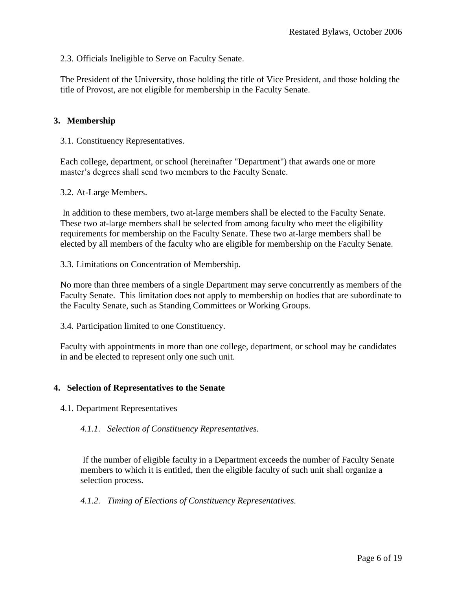<span id="page-5-0"></span>2.3. Officials Ineligible to Serve on Faculty Senate.

The President of the University, those holding the title of Vice President, and those holding the title of Provost, are not eligible for membership in the Faculty Senate.

## <span id="page-5-1"></span>**3. Membership**

<span id="page-5-2"></span>3.1. Constituency Representatives.

Each college, department, or school (hereinafter "Department") that awards one or more master's degrees shall send two members to the Faculty Senate.

<span id="page-5-3"></span>3.2. At-Large Members.

In addition to these members, two at-large members shall be elected to the Faculty Senate. These two at-large members shall be selected from among faculty who meet the eligibility requirements for membership on the Faculty Senate. These two at-large members shall be elected by all members of the faculty who are eligible for membership on the Faculty Senate.

<span id="page-5-4"></span>3.3. Limitations on Concentration of Membership.

No more than three members of a single Department may serve concurrently as members of the Faculty Senate. This limitation does not apply to membership on bodies that are subordinate to the Faculty Senate, such as Standing Committees or Working Groups.

<span id="page-5-5"></span>3.4. Participation limited to one Constituency.

Faculty with appointments in more than one college, department, or school may be candidates in and be elected to represent only one such unit.

#### <span id="page-5-6"></span>**4. Selection of Representatives to the Senate**

<span id="page-5-8"></span><span id="page-5-7"></span>4.1. Department Representatives

*4.1.1. Selection of Constituency Representatives.* 

If the number of eligible faculty in a Department exceeds the number of Faculty Senate members to which it is entitled, then the eligible faculty of such unit shall organize a selection process.

<span id="page-5-9"></span>*4.1.2. Timing of Elections of Constituency Representatives.*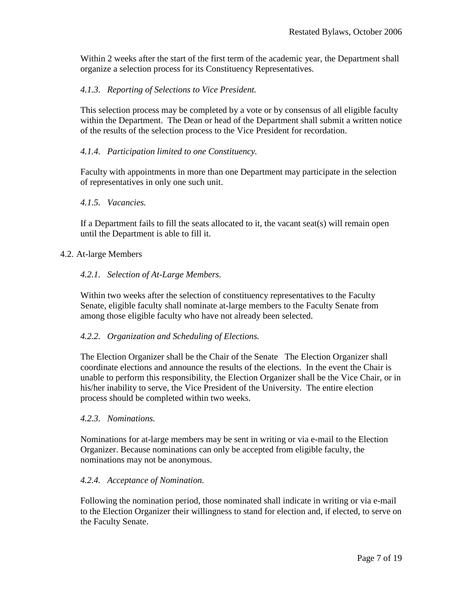Within 2 weeks after the start of the first term of the academic year, the Department shall organize a selection process for its Constituency Representatives.

## <span id="page-6-0"></span>*4.1.3. Reporting of Selections to Vice President.*

This selection process may be completed by a vote or by consensus of all eligible faculty within the Department. The Dean or head of the Department shall submit a written notice of the results of the selection process to the Vice President for recordation.

## <span id="page-6-1"></span>*4.1.4. Participation limited to one Constituency.*

Faculty with appointments in more than one Department may participate in the selection of representatives in only one such unit.

## <span id="page-6-2"></span>*4.1.5. Vacancies.*

If a Department fails to fill the seats allocated to it, the vacant seat(s) will remain open until the Department is able to fill it.

#### <span id="page-6-4"></span><span id="page-6-3"></span>4.2. At-large Members

#### *4.2.1. Selection of At-Large Members.*

Within two weeks after the selection of constituency representatives to the Faculty Senate, eligible faculty shall nominate at-large members to the Faculty Senate from among those eligible faculty who have not already been selected.

## <span id="page-6-5"></span>*4.2.2. Organization and Scheduling of Elections.*

The Election Organizer shall be the Chair of the Senate The Election Organizer shall coordinate elections and announce the results of the elections. In the event the Chair is unable to perform this responsibility, the Election Organizer shall be the Vice Chair, or in his/her inability to serve, the Vice President of the University. The entire election process should be completed within two weeks.

#### <span id="page-6-6"></span>*4.2.3. Nominations.*

Nominations for at-large members may be sent in writing or via e-mail to the Election Organizer. Because nominations can only be accepted from eligible faculty, the nominations may not be anonymous.

## <span id="page-6-7"></span>*4.2.4. Acceptance of Nomination.*

Following the nomination period, those nominated shall indicate in writing or via e-mail to the Election Organizer their willingness to stand for election and, if elected, to serve on the Faculty Senate.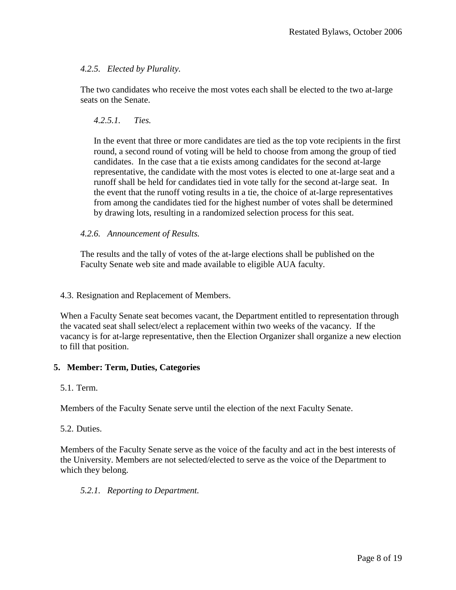## <span id="page-7-0"></span>*4.2.5. Elected by Plurality.*

<span id="page-7-1"></span>The two candidates who receive the most votes each shall be elected to the two at-large seats on the Senate.

## *4.2.5.1. Ties.*

In the event that three or more candidates are tied as the top vote recipients in the first round, a second round of voting will be held to choose from among the group of tied candidates. In the case that a tie exists among candidates for the second at-large representative, the candidate with the most votes is elected to one at-large seat and a runoff shall be held for candidates tied in vote tally for the second at-large seat. In the event that the runoff voting results in a tie, the choice of at-large representatives from among the candidates tied for the highest number of votes shall be determined by drawing lots, resulting in a randomized selection process for this seat.

## <span id="page-7-2"></span>*4.2.6. Announcement of Results.*

The results and the tally of votes of the at-large elections shall be published on the Faculty Senate web site and made available to eligible AUA faculty.

## <span id="page-7-3"></span>4.3. Resignation and Replacement of Members.

When a Faculty Senate seat becomes vacant, the Department entitled to representation through the vacated seat shall select/elect a replacement within two weeks of the vacancy. If the vacancy is for at-large representative, then the Election Organizer shall organize a new election to fill that position.

## <span id="page-7-4"></span>**5. Member: Term, Duties, Categories**

<span id="page-7-5"></span>5.1. Term.

Members of the Faculty Senate serve until the election of the next Faculty Senate.

## <span id="page-7-6"></span>5.2. Duties.

Members of the Faculty Senate serve as the voice of the faculty and act in the best interests of the University. Members are not selected/elected to serve as the voice of the Department to which they belong.

## <span id="page-7-7"></span>*5.2.1. Reporting to Department.*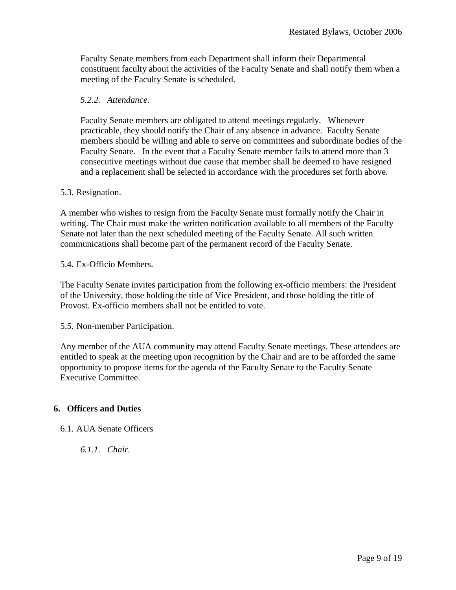Faculty Senate members from each Department shall inform their Departmental constituent faculty about the activities of the Faculty Senate and shall notify them when a meeting of the Faculty Senate is scheduled.

## <span id="page-8-0"></span>*5.2.2. Attendance.*

Faculty Senate members are obligated to attend meetings regularly. Whenever practicable, they should notify the Chair of any absence in advance. Faculty Senate members should be willing and able to serve on committees and subordinate bodies of the Faculty Senate. In the event that a Faculty Senate member fails to attend more than 3 consecutive meetings without due cause that member shall be deemed to have resigned and a replacement shall be selected in accordance with the procedures set forth above.

## <span id="page-8-1"></span>5.3. Resignation.

A member who wishes to resign from the Faculty Senate must formally notify the Chair in writing. The Chair must make the written notification available to all members of the Faculty Senate not later than the next scheduled meeting of the Faculty Senate. All such written communications shall become part of the permanent record of the Faculty Senate.

## <span id="page-8-2"></span>5.4. Ex-Officio Members.

The Faculty Senate invites participation from the following ex-officio members: the President of the University, those holding the title of Vice President, and those holding the title of Provost. Ex-officio members shall not be entitled to vote.

<span id="page-8-3"></span>5.5. Non-member Participation.

Any member of the AUA community may attend Faculty Senate meetings. These attendees are entitled to speak at the meeting upon recognition by the Chair and are to be afforded the same opportunity to propose items for the agenda of the Faculty Senate to the Faculty Senate Executive Committee.

## <span id="page-8-4"></span>**6. Officers and Duties**

<span id="page-8-6"></span><span id="page-8-5"></span>6.1. AUA Senate Officers

*6.1.1. Chair.*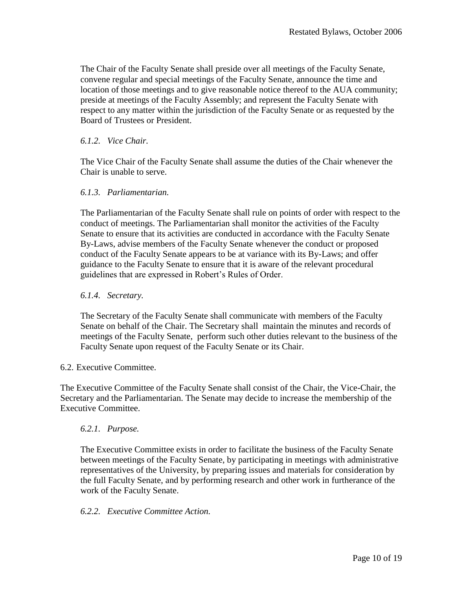The Chair of the Faculty Senate shall preside over all meetings of the Faculty Senate, convene regular and special meetings of the Faculty Senate, announce the time and location of those meetings and to give reasonable notice thereof to the AUA community; preside at meetings of the Faculty Assembly; and represent the Faculty Senate with respect to any matter within the jurisdiction of the Faculty Senate or as requested by the Board of Trustees or President.

## <span id="page-9-0"></span>*6.1.2. Vice Chair.*

The Vice Chair of the Faculty Senate shall assume the duties of the Chair whenever the Chair is unable to serve.

## <span id="page-9-1"></span>*6.1.3. Parliamentarian.*

The Parliamentarian of the Faculty Senate shall rule on points of order with respect to the conduct of meetings. The Parliamentarian shall monitor the activities of the Faculty Senate to ensure that its activities are conducted in accordance with the Faculty Senate By-Laws, advise members of the Faculty Senate whenever the conduct or proposed conduct of the Faculty Senate appears to be at variance with its By-Laws; and offer guidance to the Faculty Senate to ensure that it is aware of the relevant procedural guidelines that are expressed in Robert's Rules of Order.

## <span id="page-9-2"></span>*6.1.4. Secretary.*

The Secretary of the Faculty Senate shall communicate with members of the Faculty Senate on behalf of the Chair. The Secretary shall maintain the minutes and records of meetings of the Faculty Senate, perform such other duties relevant to the business of the Faculty Senate upon request of the Faculty Senate or its Chair.

## <span id="page-9-3"></span>6.2. Executive Committee.

The Executive Committee of the Faculty Senate shall consist of the Chair, the Vice-Chair, the Secretary and the Parliamentarian. The Senate may decide to increase the membership of the Executive Committee.

## <span id="page-9-4"></span>*6.2.1. Purpose.*

The Executive Committee exists in order to facilitate the business of the Faculty Senate between meetings of the Faculty Senate, by participating in meetings with administrative representatives of the University, by preparing issues and materials for consideration by the full Faculty Senate, and by performing research and other work in furtherance of the work of the Faculty Senate.

## <span id="page-9-5"></span>*6.2.2. Executive Committee Action.*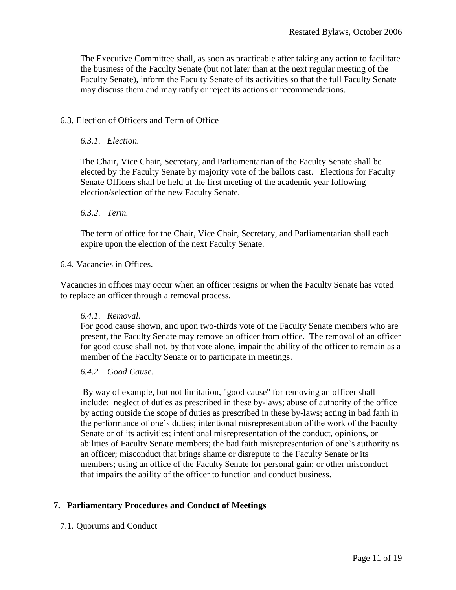The Executive Committee shall, as soon as practicable after taking any action to facilitate the business of the Faculty Senate (but not later than at the next regular meeting of the Faculty Senate), inform the Faculty Senate of its activities so that the full Faculty Senate may discuss them and may ratify or reject its actions or recommendations.

## <span id="page-10-1"></span><span id="page-10-0"></span>6.3. Election of Officers and Term of Office

#### *6.3.1. Election.*

The Chair, Vice Chair, Secretary, and Parliamentarian of the Faculty Senate shall be elected by the Faculty Senate by majority vote of the ballots cast. Elections for Faculty Senate Officers shall be held at the first meeting of the academic year following election/selection of the new Faculty Senate.

#### <span id="page-10-2"></span>*6.3.2. Term.*

The term of office for the Chair, Vice Chair, Secretary, and Parliamentarian shall each expire upon the election of the next Faculty Senate.

#### <span id="page-10-3"></span>6.4. Vacancies in Offices.

Vacancies in offices may occur when an officer resigns or when the Faculty Senate has voted to replace an officer through a removal process.

#### <span id="page-10-4"></span>*6.4.1. Removal.*

For good cause shown, and upon two-thirds vote of the Faculty Senate members who are present, the Faculty Senate may remove an officer from office. The removal of an officer for good cause shall not, by that vote alone, impair the ability of the officer to remain as a member of the Faculty Senate or to participate in meetings.

## <span id="page-10-5"></span>*6.4.2. Good Cause.*

By way of example, but not limitation, "good cause" for removing an officer shall include: neglect of duties as prescribed in these by-laws; abuse of authority of the office by acting outside the scope of duties as prescribed in these by-laws; acting in bad faith in the performance of one's duties; intentional misrepresentation of the work of the Faculty Senate or of its activities; intentional misrepresentation of the conduct, opinions, or abilities of Faculty Senate members; the bad faith misrepresentation of one's authority as an officer; misconduct that brings shame or disrepute to the Faculty Senate or its members; using an office of the Faculty Senate for personal gain; or other misconduct that impairs the ability of the officer to function and conduct business.

## <span id="page-10-6"></span>**7. Parliamentary Procedures and Conduct of Meetings**

## <span id="page-10-7"></span>7.1. Quorums and Conduct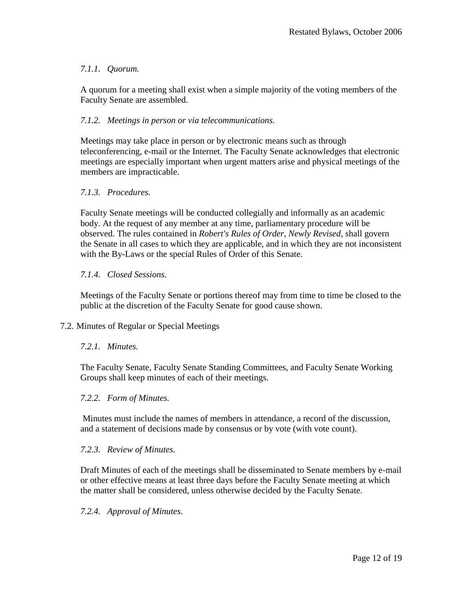## <span id="page-11-0"></span>*7.1.1. Quorum.*

A quorum for a meeting shall exist when a simple majority of the voting members of the Faculty Senate are assembled.

## <span id="page-11-1"></span>*7.1.2. Meetings in person or via telecommunications.*

Meetings may take place in person or by electronic means such as through teleconferencing, e-mail or the Internet. The Faculty Senate acknowledges that electronic meetings are especially important when urgent matters arise and physical meetings of the members are impracticable.

## <span id="page-11-2"></span>*7.1.3. Procedures.*

Faculty Senate meetings will be conducted collegially and informally as an academic body. At the request of any member at any time, parliamentary procedure will be observed. The rules contained in *Robert's Rules of Order, Newly Revised*, shall govern the Senate in all cases to which they are applicable, and in which they are not inconsistent with the By-Laws or the special Rules of Order of this Senate.

## <span id="page-11-3"></span>*7.1.4. Closed Sessions.*

Meetings of the Faculty Senate or portions thereof may from time to time be closed to the public at the discretion of the Faculty Senate for good cause shown.

## <span id="page-11-5"></span><span id="page-11-4"></span>7.2. Minutes of Regular or Special Meetings

## *7.2.1. Minutes.*

The Faculty Senate, Faculty Senate Standing Committees, and Faculty Senate Working Groups shall keep minutes of each of their meetings.

## <span id="page-11-6"></span>*7.2.2. Form of Minutes.*

Minutes must include the names of members in attendance, a record of the discussion, and a statement of decisions made by consensus or by vote (with vote count).

## <span id="page-11-7"></span>*7.2.3. Review of Minutes.*

Draft Minutes of each of the meetings shall be disseminated to Senate members by e-mail or other effective means at least three days before the Faculty Senate meeting at which the matter shall be considered, unless otherwise decided by the Faculty Senate.

## <span id="page-11-8"></span>*7.2.4. Approval of Minutes.*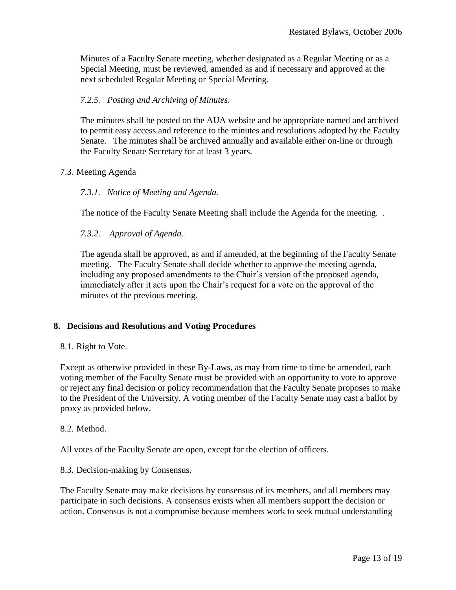Minutes of a Faculty Senate meeting, whether designated as a Regular Meeting or as a Special Meeting, must be reviewed, amended as and if necessary and approved at the next scheduled Regular Meeting or Special Meeting.

## <span id="page-12-0"></span>*7.2.5. Posting and Archiving of Minutes.*

The minutes shall be posted on the AUA website and be appropriate named and archived to permit easy access and reference to the minutes and resolutions adopted by the Faculty Senate. The minutes shall be archived annually and available either on-line or through the Faculty Senate Secretary for at least 3 years.

## <span id="page-12-2"></span><span id="page-12-1"></span>7.3. Meeting Agenda

## *7.3.1. Notice of Meeting and Agenda.*

The notice of the Faculty Senate Meeting shall include the Agenda for the meeting. .

## <span id="page-12-3"></span>*7.3.2. Approval of Agenda.*

The agenda shall be approved, as and if amended, at the beginning of the Faculty Senate meeting. The Faculty Senate shall decide whether to approve the meeting agenda, including any proposed amendments to the Chair's version of the proposed agenda, immediately after it acts upon the Chair's request for a vote on the approval of the minutes of the previous meeting.

## <span id="page-12-4"></span>**8. Decisions and Resolutions and Voting Procedures**

## <span id="page-12-5"></span>8.1. Right to Vote.

Except as otherwise provided in these By-Laws, as may from time to time be amended, each voting member of the Faculty Senate must be provided with an opportunity to vote to approve or reject any final decision or policy recommendation that the Faculty Senate proposes to make to the President of the University. A voting member of the Faculty Senate may cast a ballot by proxy as provided below.

## <span id="page-12-6"></span>8.2. Method.

All votes of the Faculty Senate are open, except for the election of officers.

## <span id="page-12-7"></span>8.3. Decision-making by Consensus.

The Faculty Senate may make decisions by consensus of its members, and all members may participate in such decisions. A consensus exists when all members support the decision or action. Consensus is not a compromise because members work to seek mutual understanding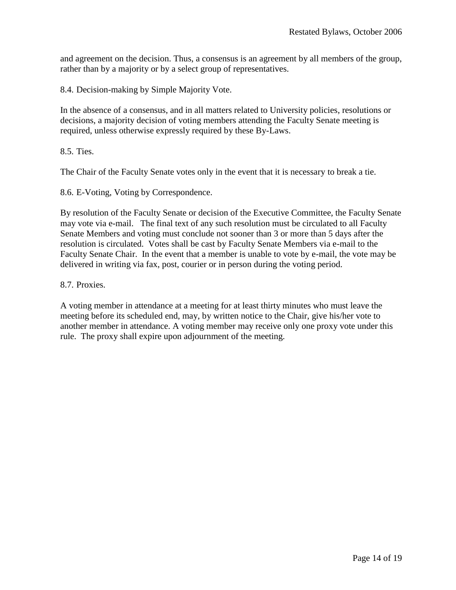and agreement on the decision. Thus, a consensus is an agreement by all members of the group, rather than by a majority or by a select group of representatives.

<span id="page-13-0"></span>8.4. Decision-making by Simple Majority Vote.

In the absence of a consensus, and in all matters related to University policies, resolutions or decisions, a majority decision of voting members attending the Faculty Senate meeting is required, unless otherwise expressly required by these By-Laws.

<span id="page-13-1"></span>8.5. Ties.

The Chair of the Faculty Senate votes only in the event that it is necessary to break a tie.

<span id="page-13-2"></span>8.6. E-Voting, Voting by Correspondence.

By resolution of the Faculty Senate or decision of the Executive Committee, the Faculty Senate may vote via e-mail. The final text of any such resolution must be circulated to all Faculty Senate Members and voting must conclude not sooner than 3 or more than 5 days after the resolution is circulated. Votes shall be cast by Faculty Senate Members via e-mail to the Faculty Senate Chair. In the event that a member is unable to vote by e-mail, the vote may be delivered in writing via fax, post, courier or in person during the voting period.

<span id="page-13-3"></span>8.7. Proxies.

A voting member in attendance at a meeting for at least thirty minutes who must leave the meeting before its scheduled end, may, by written notice to the Chair, give his/her vote to another member in attendance. A voting member may receive only one proxy vote under this rule. The proxy shall expire upon adjournment of the meeting.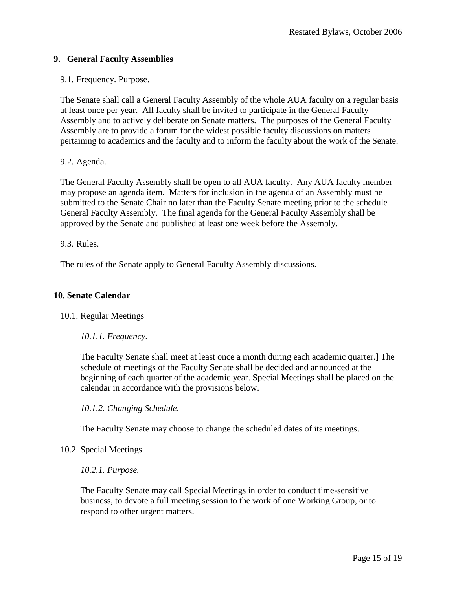## <span id="page-14-0"></span>**9. General Faculty Assemblies**

## <span id="page-14-1"></span>9.1. Frequency. Purpose.

The Senate shall call a General Faculty Assembly of the whole AUA faculty on a regular basis at least once per year. All faculty shall be invited to participate in the General Faculty Assembly and to actively deliberate on Senate matters. The purposes of the General Faculty Assembly are to provide a forum for the widest possible faculty discussions on matters pertaining to academics and the faculty and to inform the faculty about the work of the Senate.

## <span id="page-14-2"></span>9.2. Agenda.

The General Faculty Assembly shall be open to all AUA faculty. Any AUA faculty member may propose an agenda item. Matters for inclusion in the agenda of an Assembly must be submitted to the Senate Chair no later than the Faculty Senate meeting prior to the schedule General Faculty Assembly. The final agenda for the General Faculty Assembly shall be approved by the Senate and published at least one week before the Assembly.

## <span id="page-14-3"></span>9.3. Rules.

The rules of the Senate apply to General Faculty Assembly discussions.

## <span id="page-14-4"></span>**10. Senate Calendar**

## <span id="page-14-6"></span><span id="page-14-5"></span>10.1. Regular Meetings

## *10.1.1. Frequency.*

The Faculty Senate shall meet at least once a month during each academic quarter.] The schedule of meetings of the Faculty Senate shall be decided and announced at the beginning of each quarter of the academic year. Special Meetings shall be placed on the calendar in accordance with the provisions below.

<span id="page-14-7"></span>*10.1.2. Changing Schedule.* 

The Faculty Senate may choose to change the scheduled dates of its meetings.

## <span id="page-14-9"></span><span id="page-14-8"></span>10.2. Special Meetings

## *10.2.1. Purpose.*

The Faculty Senate may call Special Meetings in order to conduct time-sensitive business, to devote a full meeting session to the work of one Working Group, or to respond to other urgent matters.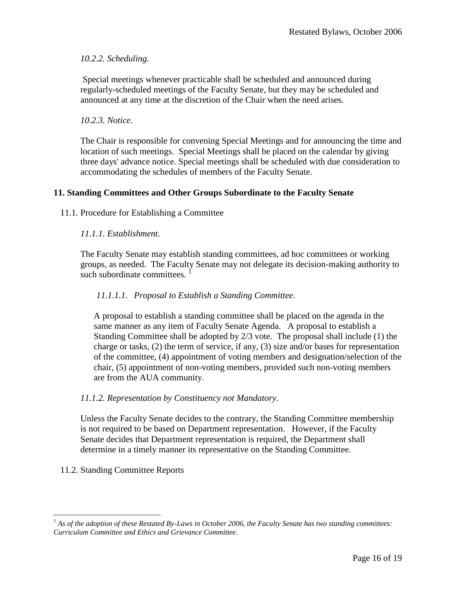## <span id="page-15-0"></span>*10.2.2. Scheduling.*

Special meetings whenever practicable shall be scheduled and announced during regularly-scheduled meetings of the Faculty Senate, but they may be scheduled and announced at any time at the discretion of the Chair when the need arises.

## <span id="page-15-1"></span>*10.2.3. Notice.*

The Chair is responsible for convening Special Meetings and for announcing the time and location of such meetings. Special Meetings shall be placed on the calendar by giving three days' advance notice. Special meetings shall be scheduled with due consideration to accommodating the schedules of members of the Faculty Senate.

## <span id="page-15-2"></span>**11. Standing Committees and Other Groups Subordinate to the Faculty Senate**

<span id="page-15-4"></span><span id="page-15-3"></span>11.1. Procedure for Establishing a Committee

## *11.1.1. Establishment.*

The Faculty Senate may establish standing committees, ad hoc committees or working groups, as needed. The Faculty Senate may not delegate its decision-making authority to such subordinate committees.  $\frac{1}{1}$ 

## <span id="page-15-5"></span>*11.1.1.1. Proposal to Establish a Standing Committee.*

A proposal to establish a standing committee shall be placed on the agenda in the same manner as any item of Faculty Senate Agenda. A proposal to establish a Standing Committee shall be adopted by 2/3 vote. The proposal shall include (1) the charge or tasks, (2) the term of service, if any, (3) size and/or bases for representation of the committee, (4) appointment of voting members and designation/selection of the chair, (5) appointment of non-voting members, provided such non-voting members are from the AUA community.

## <span id="page-15-6"></span>*11.1.2. Representation by Constituency not Mandatory.*

Unless the Faculty Senate decides to the contrary, the Standing Committee membership is not required to be based on Department representation. However, if the Faculty Senate decides that Department representation is required, the Department shall determine in a timely manner its representative on the Standing Committee.

## <span id="page-15-7"></span>11.2. Standing Committee Reports

 $\overline{a}$ <sup>1</sup> As of the adoption of these Restated By-Laws in October 2006, the Faculty Senate has two standing committees: *Curriculum Committee and Ethics and Grievance Committee*.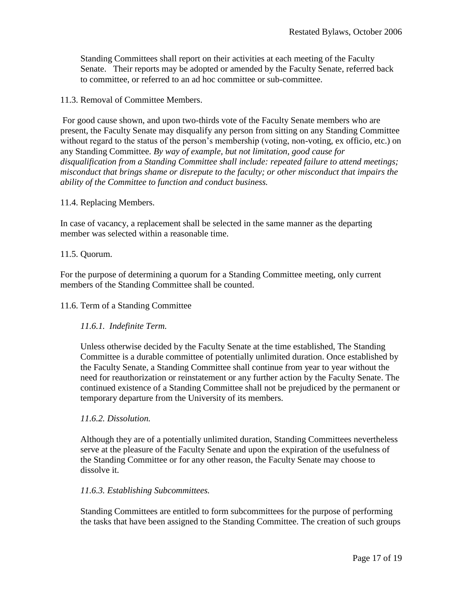Standing Committees shall report on their activities at each meeting of the Faculty Senate. Their reports may be adopted or amended by the Faculty Senate, referred back to committee, or referred to an ad hoc committee or sub-committee.

## <span id="page-16-0"></span>11.3. Removal of Committee Members.

For good cause shown, and upon two-thirds vote of the Faculty Senate members who are present, the Faculty Senate may disqualify any person from sitting on any Standing Committee without regard to the status of the person's membership (voting, non-voting, ex officio, etc.) on any Standing Committee. *By way of example, but not limitation, good cause for disqualification from a Standing Committee shall include: repeated failure to attend meetings; misconduct that brings shame or disrepute to the faculty; or other misconduct that impairs the ability of the Committee to function and conduct business.*

## <span id="page-16-1"></span>11.4. Replacing Members.

In case of vacancy, a replacement shall be selected in the same manner as the departing member was selected within a reasonable time.

## <span id="page-16-2"></span>11.5. Quorum.

For the purpose of determining a quorum for a Standing Committee meeting, only current members of the Standing Committee shall be counted.

## <span id="page-16-3"></span>11.6. Term of a Standing Committee

## <span id="page-16-4"></span>*11.6.1. Indefinite Term.*

Unless otherwise decided by the Faculty Senate at the time established, The Standing Committee is a durable committee of potentially unlimited duration. Once established by the Faculty Senate, a Standing Committee shall continue from year to year without the need for reauthorization or reinstatement or any further action by the Faculty Senate. The continued existence of a Standing Committee shall not be prejudiced by the permanent or temporary departure from the University of its members.

## <span id="page-16-5"></span>*11.6.2. Dissolution.*

Although they are of a potentially unlimited duration, Standing Committees nevertheless serve at the pleasure of the Faculty Senate and upon the expiration of the usefulness of the Standing Committee or for any other reason, the Faculty Senate may choose to dissolve it.

## <span id="page-16-6"></span>*11.6.3. Establishing Subcommittees.*

Standing Committees are entitled to form subcommittees for the purpose of performing the tasks that have been assigned to the Standing Committee. The creation of such groups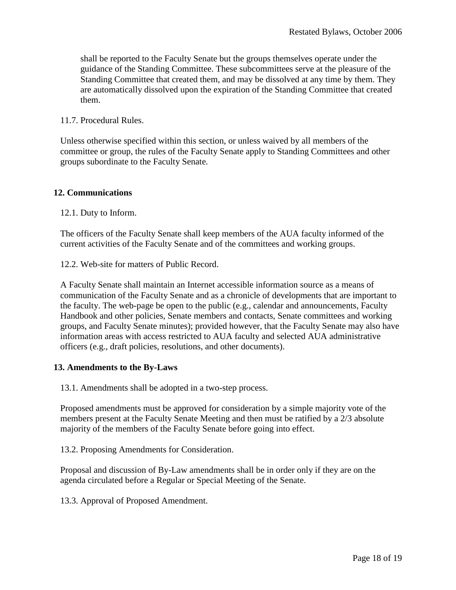shall be reported to the Faculty Senate but the groups themselves operate under the guidance of the Standing Committee. These subcommittees serve at the pleasure of the Standing Committee that created them, and may be dissolved at any time by them. They are automatically dissolved upon the expiration of the Standing Committee that created them.

#### <span id="page-17-0"></span>11.7. Procedural Rules.

Unless otherwise specified within this section, or unless waived by all members of the committee or group, the rules of the Faculty Senate apply to Standing Committees and other groups subordinate to the Faculty Senate*.*

#### <span id="page-17-1"></span>**12. Communications**

<span id="page-17-2"></span>12.1. Duty to Inform.

The officers of the Faculty Senate shall keep members of the AUA faculty informed of the current activities of the Faculty Senate and of the committees and working groups.

<span id="page-17-3"></span>12.2. Web-site for matters of Public Record.

A Faculty Senate shall maintain an Internet accessible information source as a means of communication of the Faculty Senate and as a chronicle of developments that are important to the faculty. The web-page be open to the public (e.g., calendar and announcements, Faculty Handbook and other policies, Senate members and contacts, Senate committees and working groups, and Faculty Senate minutes); provided however, that the Faculty Senate may also have information areas with access restricted to AUA faculty and selected AUA administrative officers (e.g., draft policies, resolutions, and other documents).

## <span id="page-17-4"></span>**13. Amendments to the By-Laws**

<span id="page-17-5"></span>13.1. Amendments shall be adopted in a two-step process.

Proposed amendments must be approved for consideration by a simple majority vote of the members present at the Faculty Senate Meeting and then must be ratified by a 2/3 absolute majority of the members of the Faculty Senate before going into effect.

<span id="page-17-6"></span>13.2. Proposing Amendments for Consideration.

Proposal and discussion of By-Law amendments shall be in order only if they are on the agenda circulated before a Regular or Special Meeting of the Senate.

<span id="page-17-7"></span>13.3. Approval of Proposed Amendment.